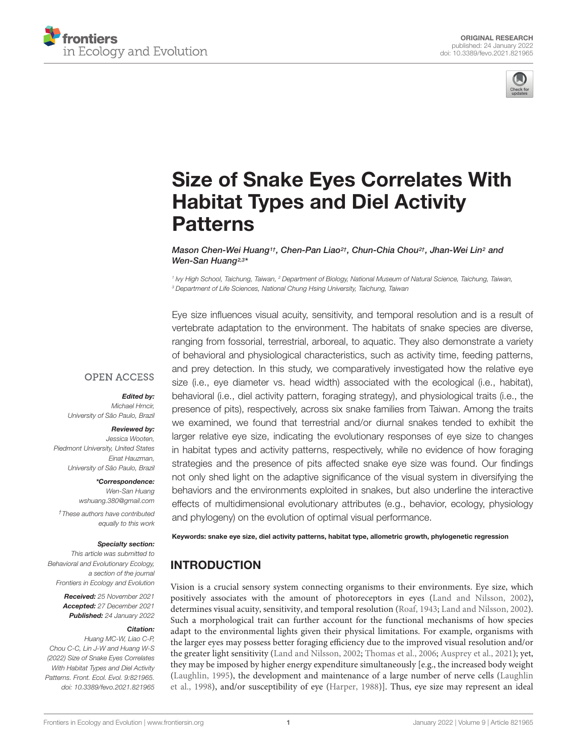



# [Size of Snake Eyes Correlates With](https://www.frontiersin.org/articles/10.3389/fevo.2021.821965/full) Habitat Types and Diel Activity Patterns

Mason Chen-Wei Huang††, Chen-Pan Liao<sup>2†</sup>, Chun-Chia Chou<sup>2†</sup>, Jhan-Wei Lin<sup>2</sup> and Wen-San Huang<sup>2,3\*</sup>

<sup>1</sup> Ivy High School, Taichung, Taiwan, <sup>2</sup> Department of Biology, National Museum of Natural Science, Taichung, Taiwan, <sup>3</sup> Department of Life Sciences, National Chung Hsing University, Taichung, Taiwan

Eye size influences visual acuity, sensitivity, and temporal resolution and is a result of vertebrate adaptation to the environment. The habitats of snake species are diverse, ranging from fossorial, terrestrial, arboreal, to aquatic. They also demonstrate a variety of behavioral and physiological characteristics, such as activity time, feeding patterns, and prey detection. In this study, we comparatively investigated how the relative eye size (i.e., eye diameter vs. head width) associated with the ecological (i.e., habitat), behavioral (i.e., diel activity pattern, foraging strategy), and physiological traits (i.e., the presence of pits), respectively, across six snake families from Taiwan. Among the traits we examined, we found that terrestrial and/or diurnal snakes tended to exhibit the larger relative eye size, indicating the evolutionary responses of eye size to changes in habitat types and activity patterns, respectively, while no evidence of how foraging strategies and the presence of pits affected snake eye size was found. Our findings not only shed light on the adaptive significance of the visual system in diversifying the behaviors and the environments exploited in snakes, but also underline the interactive effects of multidimensional evolutionary attributes (e.g., behavior, ecology, physiology and phylogeny) on the evolution of optimal visual performance.

#### Keywords: snake eye size, diel activity patterns, habitat type, allometric growth, phylogenetic regression

# INTRODUCTION

Vision is a crucial sensory system connecting organisms to their environments. Eye size, which positively associates with the amount of photoreceptors in eyes [\(Land and Nilsson,](#page-8-0) [2002\)](#page-8-0), determines visual acuity, sensitivity, and temporal resolution [\(Roaf,](#page-8-1) [1943;](#page-8-1) [Land and Nilsson,](#page-8-0) [2002\)](#page-8-0). Such a morphological trait can further account for the functional mechanisms of how species adapt to the environmental lights given their physical limitations. For example, organisms with the larger eyes may possess better foraging efficiency due to the improved visual resolution and/or the greater light sensitivity [\(Land and Nilsson,](#page-8-0) [2002;](#page-8-0) [Thomas et al.,](#page-8-2) [2006;](#page-8-2) [Ausprey et al.,](#page-7-0) [2021\)](#page-7-0); yet, they may be imposed by higher energy expenditure simultaneously [e.g., the increased body weight [\(Laughlin,](#page-8-3) [1995\)](#page-8-3), the development and maintenance of a large number of nerve cells [\(Laughlin](#page-8-4) [et al.,](#page-8-4) [1998\)](#page-8-4), and/or susceptibility of eye [\(Harper,](#page-8-5) [1988\)](#page-8-5)]. Thus, eye size may represent an ideal

#### **OPEN ACCESS**

Edited by:

Michael Hrncir, University of São Paulo, Brazil

#### Reviewed by:

Jessica Wooten, Piedmont University, United States Einat Hauzman, University of São Paulo, Brazil

> \*Correspondence: Wen-San Huang wshuang.380@gmail.com

†These authors have contributed equally to this work

#### Specialty section:

This article was submitted to Behavioral and Evolutionary Ecology, a section of the journal Frontiers in Ecology and Evolution

> Received: 25 November 2021 Accepted: 27 December 2021 Published: 24 January 2022

#### Citation:

Huang MC-W, Liao C-P, Chou C-C, Lin J-W and Huang W-S (2022) Size of Snake Eyes Correlates With Habitat Types and Diel Activity Patterns. Front. Ecol. Evol. 9:821965. doi: [10.3389/fevo.2021.821965](https://doi.org/10.3389/fevo.2021.821965)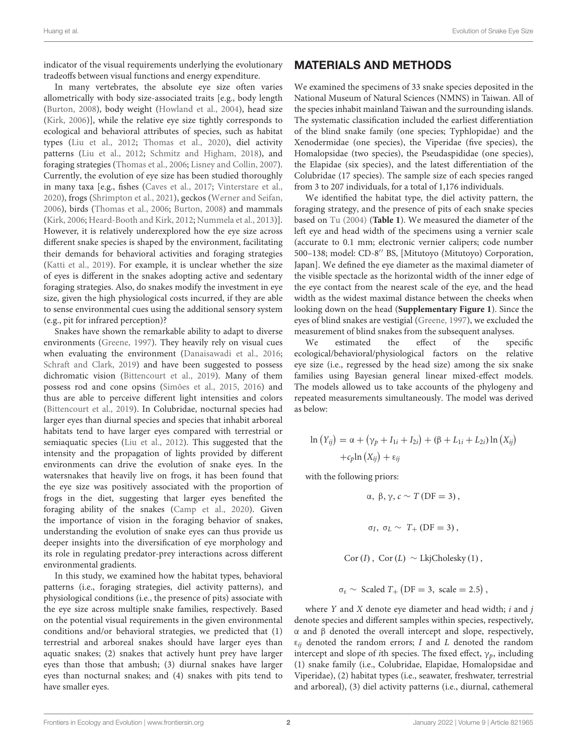indicator of the visual requirements underlying the evolutionary tradeoffs between visual functions and energy expenditure.

In many vertebrates, the absolute eye size often varies allometrically with body size-associated traits [e.g., body length [\(Burton,](#page-7-1) [2008\)](#page-7-1), body weight [\(Howland et al.,](#page-8-6) [2004\)](#page-8-6), head size [\(Kirk,](#page-8-7) [2006\)](#page-8-7)], while the relative eye size tightly corresponds to ecological and behavioral attributes of species, such as habitat types [\(Liu et al.,](#page-8-8) [2012;](#page-8-8) [Thomas et al.,](#page-8-9) [2020\)](#page-8-9), diel activity patterns [\(Liu et al.,](#page-8-8) [2012;](#page-8-8) [Schmitz and Higham,](#page-8-10) [2018\)](#page-8-10), and foraging strategies [\(Thomas et al.,](#page-8-2) [2006;](#page-8-2) [Lisney and Collin,](#page-8-11) [2007\)](#page-8-11). Currently, the evolution of eye size has been studied thoroughly in many taxa [e.g., fishes [\(Caves et al.,](#page-7-2) [2017;](#page-7-2) [Vinterstare et al.,](#page-8-12) [2020\)](#page-8-12), frogs [\(Shrimpton et al.,](#page-8-13) [2021\)](#page-8-13), geckos [\(Werner and Seifan,](#page-8-14) [2006\)](#page-8-14), birds [\(Thomas et al.,](#page-8-2) [2006;](#page-8-2) [Burton,](#page-7-1) [2008\)](#page-7-1) and mammals [\(Kirk,](#page-8-7) [2006;](#page-8-7) [Heard-Booth and Kirk,](#page-8-15) [2012;](#page-8-15) [Nummela et al.,](#page-8-16) [2013\)](#page-8-16)]. However, it is relatively underexplored how the eye size across different snake species is shaped by the environment, facilitating their demands for behavioral activities and foraging strategies [\(Katti et al.,](#page-8-17) [2019\)](#page-8-17). For example, it is unclear whether the size of eyes is different in the snakes adopting active and sedentary foraging strategies. Also, do snakes modify the investment in eye size, given the high physiological costs incurred, if they are able to sense environmental cues using the additional sensory system (e.g., pit for infrared perception)?

Snakes have shown the remarkable ability to adapt to diverse environments [\(Greene,](#page-8-18) [1997\)](#page-8-18). They heavily rely on visual cues when evaluating the environment [\(Danaisawadi et al.,](#page-7-3) [2016;](#page-7-3) [Schraft and Clark,](#page-8-19) [2019\)](#page-8-19) and have been suggested to possess dichromatic vision [\(Bittencourt et al.,](#page-7-4) [2019\)](#page-7-4). Many of them possess rod and cone opsins [\(Simões et al.,](#page-8-20) [2015,](#page-8-20) [2016\)](#page-8-21) and thus are able to perceive different light intensities and colors [\(Bittencourt et al.,](#page-7-4) [2019\)](#page-7-4). In Colubridae, nocturnal species had larger eyes than diurnal species and species that inhabit arboreal habitats tend to have larger eyes compared with terrestrial or semiaquatic species [\(Liu et al.,](#page-8-8) [2012\)](#page-8-8). This suggested that the intensity and the propagation of lights provided by different environments can drive the evolution of snake eyes. In the watersnakes that heavily live on frogs, it has been found that the eye size was positively associated with the proportion of frogs in the diet, suggesting that larger eyes benefited the foraging ability of the snakes [\(Camp et al.,](#page-7-5) [2020\)](#page-7-5). Given the importance of vision in the foraging behavior of snakes, understanding the evolution of snake eyes can thus provide us deeper insights into the diversification of eye morphology and its role in regulating predator-prey interactions across different environmental gradients.

In this study, we examined how the habitat types, behavioral patterns (i.e., foraging strategies, diel activity patterns), and physiological conditions (i.e., the presence of pits) associate with the eye size across multiple snake families, respectively. Based on the potential visual requirements in the given environmental conditions and/or behavioral strategies, we predicted that (1) terrestrial and arboreal snakes should have larger eyes than aquatic snakes; (2) snakes that actively hunt prey have larger eyes than those that ambush; (3) diurnal snakes have larger eyes than nocturnal snakes; and (4) snakes with pits tend to have smaller eyes.

#### MATERIALS AND METHODS

We examined the specimens of 33 snake species deposited in the National Museum of Natural Sciences (NMNS) in Taiwan. All of the species inhabit mainland Taiwan and the surrounding islands. The systematic classification included the earliest differentiation of the blind snake family (one species; Typhlopidae) and the Xenodermidae (one species), the Viperidae (five species), the Homalopsidae (two species), the Pseudaspididae (one species), the Elapidae (six species), and the latest differentiation of the Colubridae (17 species). The sample size of each species ranged from 3 to 207 individuals, for a total of 1,176 individuals.

We identified the habitat type, the diel activity pattern, the foraging strategy, and the presence of pits of each snake species based on [Tu](#page-8-22) [\(2004\)](#page-8-22) (**[Table 1](#page-2-0)**). We measured the diameter of the left eye and head width of the specimens using a vernier scale (accurate to 0.1 mm; electronic vernier calipers; code number 500-138; model: CD-8" BS, [Mitutoyo (Mitutoyo) Corporation, Japan]. We defined the eye diameter as the maximal diameter of the visible spectacle as the horizontal width of the inner edge of the eye contact from the nearest scale of the eye, and the head width as the widest maximal distance between the cheeks when looking down on the head (**[Supplementary Figure 1](#page-7-6)**). Since the eyes of blind snakes are vestigial [\(Greene,](#page-8-18) [1997\)](#page-8-18), we excluded the measurement of blind snakes from the subsequent analyses.

We estimated the effect of the specific ecological/behavioral/physiological factors on the relative eye size (i.e., regressed by the head size) among the six snake families using Bayesian general linear mixed-effect models. The models allowed us to take accounts of the phylogeny and repeated measurements simultaneously. The model was derived as below:

$$
\ln(Y_{ij}) = \alpha + (\gamma_p + I_{1i} + I_{2i}) + (\beta + L_{1i} + L_{2i}) \ln(X_{ij})
$$
  
+  $c_p \ln(X_{ij}) + \varepsilon_{ij}$ 

with the following priors:

α,  $\beta$ ,  $\gamma$ ,  $c \sim T$  (DF = 3), σ<sub>I</sub>, σ<sub>L</sub>  $\sim T_+$  (DF = 3), Cor(I), Cor(L)  $\sim$  LkjCholesky (1),

$$
\sigma_{\varepsilon} \sim \text{ Scaled } T_{+} \text{ (DF = 3, scale = 2.5),}
$$

where  $Y$  and  $X$  denote eye diameter and head width;  $i$  and  $j$ denote species and different samples within species, respectively, α and β denoted the overall intercept and slope, respectively,  $\varepsilon_{ii}$  denoted the random errors; I and L denoted the random intercept and slope of *i*th species. The fixed effect,  $\gamma_p$ , including (1) snake family (i.e., Colubridae, Elapidae, Homalopsidae and Viperidae), (2) habitat types (i.e., seawater, freshwater, terrestrial and arboreal), (3) diel activity patterns (i.e., diurnal, cathemeral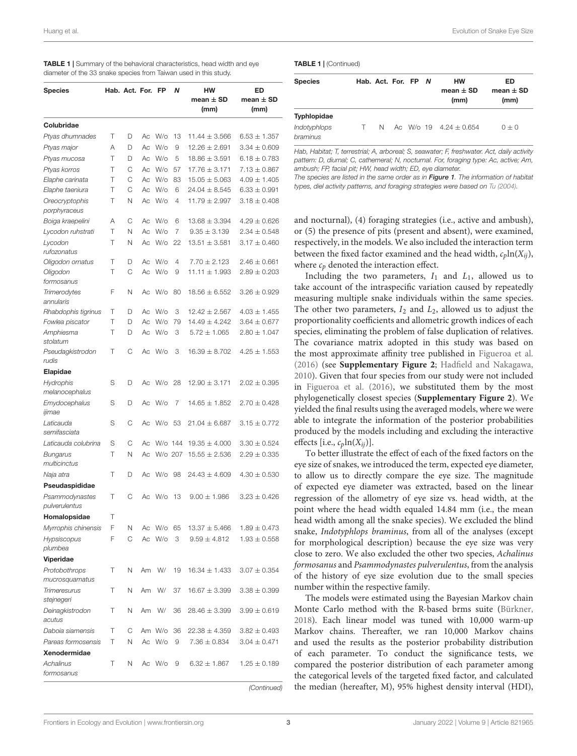| <b>TABLE 1</b> Summary of the behavioral characteristics, head width and eye |
|------------------------------------------------------------------------------|
| diameter of the 33 snake species from Taiwan used in this study.             |

| <b>Species</b>                     | Hab. Act. For. |   |    | <b>FP</b>     | N  | HW<br>mean $\pm$ SD<br>(mm) | ED<br>mean $\pm$ SD<br>(mm) |  |
|------------------------------------|----------------|---|----|---------------|----|-----------------------------|-----------------------------|--|
| Colubridae                         |                |   |    |               |    |                             |                             |  |
| Ptyas dhumnades                    | Τ              | D | Aс | W/o           | 13 | $11.44 \pm 3.566$           | $6.53 \pm 1.357$            |  |
| Ptyas major                        | Α              | D | Ac | W/o           | 9  | $12.26 \pm 2.691$           | $3.34 \pm 0.609$            |  |
| Ptyas mucosa                       | T              | D | Ac | W/o           | 5  | $18.86 \pm 3.591$           | $6.18 \pm 0.783$            |  |
| Ptyas korros                       | Τ              | C | Ac | W/o           | 57 | $17.76 \pm 3.171$           | $7.13 \pm 0.867$            |  |
| Elaphe carinata                    | T              | C | Ac | $W$ / $\circ$ | 83 | $15.05 \pm 5.063$           | $4.09 \pm 1.405$            |  |
| Elaphe taeniura                    | Τ              | C | Aс | W/o           | 6  | $24.04 \pm 8.545$           | $6.33 \pm 0.991$            |  |
| Oreocryptophis<br>porphyraceus     | T              | N | Aс | W/o           | 4  | $11.79 \pm 2.997$           | $3.18 \pm 0.408$            |  |
| Boiga kraepelini                   | Α              | C | Aс | W/o           | 6  | $13.68 \pm 3.394$           | $4.29 \pm 0.626$            |  |
| Lycodon ruhstrati                  | T              | N | Ac | W/o           | 7  | $9.35 \pm 3.139$            | $2.34 \pm 0.548$            |  |
| Lycodon<br>rufozonatus             | Τ              | Ν | Aс | W/o           | 22 | $13.51 \pm 3.581$           | $3.17 \pm 0.460$            |  |
| Oligodon ornatus                   | T              | D | Aс | W/o           | 4  | $7.70 \pm 2.123$            | $2.46 \pm 0.661$            |  |
| Oligodon<br>formosanus             | T              | C | Ac | W/o           | 9  | $11.11 \pm 1.993$           | $2.89 \pm 0.203$            |  |
| Trimerodytes<br>annularis          | F              | Ν | Aс | $W$ / $\circ$ | 80 | $18.56 \pm 6.552$           | $3.26 \pm 0.929$            |  |
| Rhabdophis tigrinus                | Τ              | D | Ac | W/o           | 3  | $12.42 \pm 2.567$           | $4.03 \pm 1.455$            |  |
| Fowlea piscator                    | T              | D | Ac | W/o           | 79 | $14.49 \pm 4.242$           | $3.64 \pm 0.677$            |  |
| Amphiesma<br>stolatum              | Τ              | D | Ac | W/o           | 3  | $5.72 \pm 1.065$            | $2.80 \pm 1.047$            |  |
| Pseudagkistrodon<br>rudis          | Τ              | С | Ac | W/o           | 3  | $16.39 \pm 8.702$           | $4.25 \pm 1.553$            |  |
| Elapidae                           |                |   |    |               |    |                             |                             |  |
| <b>Hydrophis</b><br>melanocephalus | S              | D | Ac | W/o           | 28 | $12.90 \pm 3.171$           | $2.02 \pm 0.395$            |  |
| Emydocephalus<br>ijimae            | S              | D | Aс | W/o           | 7  | $14.65 \pm 1.852$           | $2.70 \pm 0.428$            |  |
| Laticauda<br>semifasciata          | S              | C | Aс | W/o           | 53 | $21.04 \pm 6.687$           | $3.15 \pm 0.772$            |  |
| Laticauda colubrina                | S              | С | Ac | W/o 144       |    | $19.35 \pm 4.000$           | $3.30 \pm 0.524$            |  |
| <b>Bungarus</b><br>multicinctus    | T              | Ν | Aс | W/o 207       |    | $15.55 \pm 2.536$           | $2.29 \pm 0.335$            |  |
| Naja atra                          | T              | D | Aс | $W$ / $\circ$ | 98 | $24.43 \pm 4.609$           | $4.30 \pm 0.530$            |  |
| Pseudaspididae                     |                |   |    |               |    |                             |                             |  |
| Psammodynastes<br>pulverulentus    | T              | С | Aс | W/o           | 13 | $9.00 \pm 1.986$            | $3.23 \pm 0.426$            |  |
| Homalopsidae                       | Τ              |   |    |               |    |                             |                             |  |
| Myrrophis chinensis                | F              | Ν |    | Ac W/o        | 65 | $13.37 \pm 5.466$           | $1.89 \pm 0.473$            |  |
| <b>Hypsiscopus</b><br>plumbea      | F              | С | Ac | $W$ / $\circ$ | 3  | $9.59 \pm 4.812$            | $1.93 \pm 0.558$            |  |
| Viperidae                          |                |   |    |               |    |                             |                             |  |
| Protobothrops<br>mucrosquamatus    | T              | N | Am | W/            | 19 | $16.34 \pm 1.433$           | $3.07 \pm 0.354$            |  |
| <b>Trimeresurus</b><br>stejnegeri  | Τ              | Ν | Am | W/            | 37 | $16.67 \pm 3.399$           | $3.38 \pm 0.399$            |  |
| Deinagkistrodon<br>acutus          | Τ              | Ν | Am | W/            | 36 | $28.46 \pm 3.399$           | $3.99 \pm 0.619$            |  |
| Daboia siamensis                   | T              | С |    | Am W/o        | 36 | $22.38 \pm 4.359$           | $3.82 \pm 0.493$            |  |
| Pareas formosensis                 | Τ              | N |    | Ac W/o        | 9  | $7.36 \pm 0.834$            | $3.04 \pm 0.471$            |  |
| Xenodermidae                       |                |   |    |               |    |                             |                             |  |
| Achalinus<br>formosanus            | T              | Ν |    | Ac W/o        | 9  | $6.32 \pm 1.867$            | $1.25 \pm 0.189$            |  |

(Continued)

<span id="page-2-0"></span>TABLE 1 | (Continued)

| <b>Species</b>           | Hab. Act. For. FP N |  |  | <b>HW</b><br>mean $\pm$ SD<br>(mm) | ED<br>mean $\pm$ SD<br>(mm) |
|--------------------------|---------------------|--|--|------------------------------------|-----------------------------|
| Typhlopidae              |                     |  |  |                                    |                             |
| Indotyphlops<br>braminus |                     |  |  | N Ac W/o 19 $4.24 + 0.654$         | $0 + 0$                     |

Hab, Habitat; T, terrestrial; A, arboreal; S, seawater; F, freshwater. Act, daily activity pattern: D, diurnal; C, cathemeral; N, nocturnal. For, foraging type: Ac, active; Am, ambush; FP, facial pit; HW, head width; ED, eye diameter.

The species are listed in the same order as in [Figure 1](#page-4-0). The information of habitat types, diel activity patterns, and foraging strategies were based on [Tu](#page-8-22) [\(2004\)](#page-8-22).

and nocturnal), (4) foraging strategies (i.e., active and ambush), or (5) the presence of pits (present and absent), were examined, respectively, in the models. We also included the interaction term between the fixed factor examined and the head width,  $c_p \ln(X_{ii})$ , where  $c_p$  denoted the interaction effect.

Including the two parameters,  $I_1$  and  $I_1$ , allowed us to take account of the intraspecific variation caused by repeatedly measuring multiple snake individuals within the same species. The other two parameters,  $I_2$  and  $I_2$ , allowed us to adjust the proportionality coefficients and allometric growth indices of each species, eliminating the problem of false duplication of relatives. The covariance matrix adopted in this study was based on the most approximate affinity tree published in [Figueroa et al.](#page-7-7) [\(2016\)](#page-7-7) (see **[Supplementary Figure 2](#page-7-6)**; [Hadfield and Nakagawa,](#page-8-23) [2010\)](#page-8-23). Given that four species from our study were not included in [Figueroa et al.](#page-7-7) [\(2016\)](#page-7-7), we substituted them by the most phylogenetically closest species (**[Supplementary Figure 2](#page-7-6)**). We yielded the final results using the averaged models, where we were able to integrate the information of the posterior probabilities produced by the models including and excluding the interactive effects [i.e.,  $c_p \ln(X_{ii})$ ].

To better illustrate the effect of each of the fixed factors on the eye size of snakes, we introduced the term, expected eye diameter, to allow us to directly compare the eye size. The magnitude of expected eye diameter was extracted, based on the linear regression of the allometry of eye size vs. head width, at the point where the head width equaled 14.84 mm (i.e., the mean head width among all the snake species). We excluded the blind snake, Indotyphlops braminus, from all of the analyses (except for morphological description) because the eye size was very close to zero. We also excluded the other two species, Achalinus formosanus and Psammodynastes pulverulentus, from the analysis of the history of eye size evolution due to the small species number within the respective family.

The models were estimated using the Bayesian Markov chain Monte Carlo method with the R-based brms suite [\(Bürkner,](#page-7-8) [2018\)](#page-7-8). Each linear model was tuned with 10,000 warm-up Markov chains. Thereafter, we ran 10,000 Markov chains and used the results as the posterior probability distribution of each parameter. To conduct the significance tests, we compared the posterior distribution of each parameter among the categorical levels of the targeted fixed factor, and calculated the median (hereafter, M), 95% highest density interval (HDI),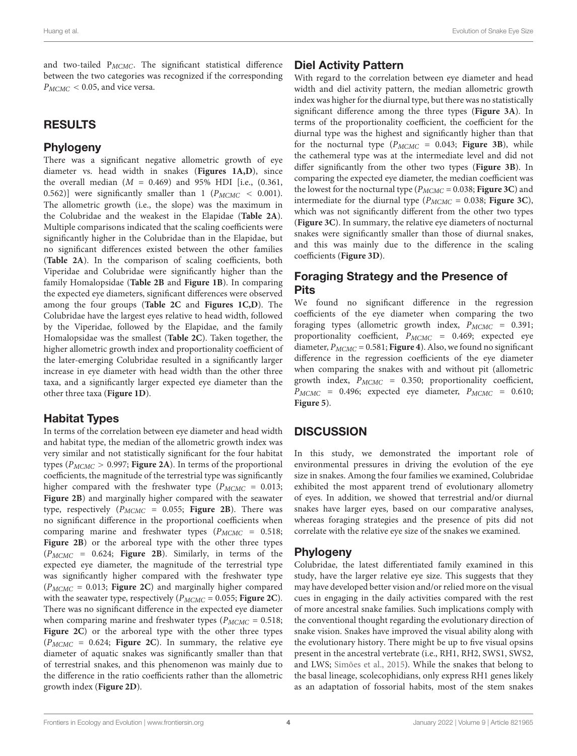and two-tailed  $P_{MCMC}$ . The significant statistical difference between the two categories was recognized if the corresponding  $P_{MCMC}$  < 0.05, and vice versa.

#### RESULTS

#### Phylogeny

There was a significant negative allometric growth of eye diameter vs. head width in snakes (**[Figures 1A,D](#page-4-0)**), since the overall median  $(M = 0.469)$  and 95% HDI [i.e.,  $(0.361,$ 0.562)] were significantly smaller than 1 ( $P_{MCMC}$  < 0.001). The allometric growth (i.e., the slope) was the maximum in the Colubridae and the weakest in the Elapidae (**[Table 2A](#page-5-0)**). Multiple comparisons indicated that the scaling coefficients were significantly higher in the Colubridae than in the Elapidae, but no significant differences existed between the other families (**[Table 2A](#page-5-0)**). In the comparison of scaling coefficients, both Viperidae and Colubridae were significantly higher than the family Homalopsidae (**[Table 2B](#page-5-0)** and **[Figure 1B](#page-4-0)**). In comparing the expected eye diameters, significant differences were observed among the four groups (**[Table 2C](#page-5-0)** and **[Figures 1C,D](#page-4-0)**). The Colubridae have the largest eyes relative to head width, followed by the Viperidae, followed by the Elapidae, and the family Homalopsidae was the smallest (**[Table 2C](#page-5-0)**). Taken together, the higher allometric growth index and proportionality coefficient of the later-emerging Colubridae resulted in a significantly larger increase in eye diameter with head width than the other three taxa, and a significantly larger expected eye diameter than the other three taxa (**[Figure 1D](#page-4-0)**).

### Habitat Types

In terms of the correlation between eye diameter and head width and habitat type, the median of the allometric growth index was very similar and not statistically significant for the four habitat types ( $P_{MCMC} > 0.997$ ; **[Figure 2A](#page-5-1)**). In terms of the proportional coefficients, the magnitude of the terrestrial type was significantly higher compared with the freshwater type ( $P_{MCMC} = 0.013$ ; **[Figure 2B](#page-5-1)**) and marginally higher compared with the seawater type, respectively  $(P_{MCMC} = 0.055;$  [Figure 2B](#page-5-1)). There was no significant difference in the proportional coefficients when comparing marine and freshwater types ( $P_{MCMC}$  = 0.518; **[Figure 2B](#page-5-1)**) or the arboreal type with the other three types  $(P_{MCMC} = 0.624;$  **[Figure 2B](#page-5-1)**). Similarly, in terms of the expected eye diameter, the magnitude of the terrestrial type was significantly higher compared with the freshwater type  $(P_{MCMC} = 0.013;$  **[Figure 2C](#page-5-1)**) and marginally higher compared with the seawater type, respectively ( $P_{MCMC}$  = 0.055; **[Figure 2C](#page-5-1)**). There was no significant difference in the expected eye diameter when comparing marine and freshwater types ( $P_{MCMC}$  = 0.518; **[Figure 2C](#page-5-1)**) or the arboreal type with the other three types  $(P_{MCMC} = 0.624;$  **[Figure 2C](#page-5-1)**). In summary, the relative eye diameter of aquatic snakes was significantly smaller than that of terrestrial snakes, and this phenomenon was mainly due to the difference in the ratio coefficients rather than the allometric growth index (**[Figure 2D](#page-5-1)**).

#### Diel Activity Pattern

With regard to the correlation between eye diameter and head width and diel activity pattern, the median allometric growth index was higher for the diurnal type, but there was no statistically significant difference among the three types (**[Figure 3A](#page-5-2)**). In terms of the proportionality coefficient, the coefficient for the diurnal type was the highest and significantly higher than that for the nocturnal type  $(P_{MCMC} = 0.043;$  [Figure 3B](#page-5-2)), while the cathemeral type was at the intermediate level and did not differ significantly from the other two types (**[Figure 3B](#page-5-2)**). In comparing the expected eye diameter, the median coefficient was the lowest for the nocturnal type ( $P_{MCMC}$  = 0.038; **[Figure 3C](#page-5-2)**) and intermediate for the diurnal type ( $P_{MCMC}$  = 0.038; **[Figure 3C](#page-5-2)**), which was not significantly different from the other two types (**[Figure 3C](#page-5-2)**). In summary, the relative eye diameters of nocturnal snakes were significantly smaller than those of diurnal snakes, and this was mainly due to the difference in the scaling coefficients (**[Figure 3D](#page-5-2)**).

# Foraging Strategy and the Presence of Pits

We found no significant difference in the regression coefficients of the eye diameter when comparing the two foraging types (allometric growth index,  $P_{MCMC} = 0.391$ ; proportionality coefficient,  $P_{MCMC}$  = 0.469; expected eye diameter,  $P_{MCMC} = 0.581$ ; **[Figure 4](#page-6-0)**). Also, we found no significant difference in the regression coefficients of the eye diameter when comparing the snakes with and without pit (allometric growth index,  $P_{MCMC}$  = 0.350; proportionality coefficient,  $P_{MCMC}$  = 0.496; expected eye diameter,  $P_{MCMC}$  = 0.610; **[Figure 5](#page-6-1)**).

### **DISCUSSION**

In this study, we demonstrated the important role of environmental pressures in driving the evolution of the eye size in snakes. Among the four families we examined, Colubridae exhibited the most apparent trend of evolutionary allometry of eyes. In addition, we showed that terrestrial and/or diurnal snakes have larger eyes, based on our comparative analyses, whereas foraging strategies and the presence of pits did not correlate with the relative eye size of the snakes we examined.

#### Phylogeny

Colubridae, the latest differentiated family examined in this study, have the larger relative eye size. This suggests that they may have developed better vision and/or relied more on the visual cues in engaging in the daily activities compared with the rest of more ancestral snake families. Such implications comply with the conventional thought regarding the evolutionary direction of snake vision. Snakes have improved the visual ability along with the evolutionary history. There might be up to five visual opsins present in the ancestral vertebrate (i.e., RH1, RH2, SWS1, SWS2, and LWS; [Simões et al.,](#page-8-20) [2015\)](#page-8-20). While the snakes that belong to the basal lineage, scolecophidians, only express RH1 genes likely as an adaptation of fossorial habits, most of the stem snakes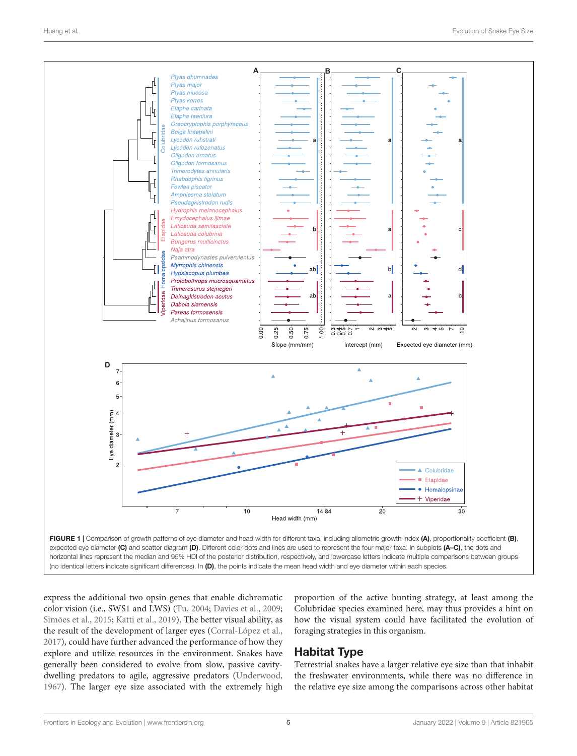

<span id="page-4-0"></span>express the additional two opsin genes that enable dichromatic color vision (i.e., SWS1 and LWS) [\(Tu,](#page-8-22) [2004;](#page-8-22) [Davies et al.,](#page-7-9) [2009;](#page-7-9) [Simões et al.,](#page-8-20) [2015;](#page-8-20) [Katti et al.,](#page-8-17) [2019\)](#page-8-17). The better visual ability, as the result of the development of larger eyes [\(Corral-López et al.,](#page-7-10) [2017\)](#page-7-10), could have further advanced the performance of how they explore and utilize resources in the environment. Snakes have generally been considered to evolve from slow, passive cavitydwelling predators to agile, aggressive predators [\(Underwood,](#page-8-24) [1967\)](#page-8-24). The larger eye size associated with the extremely high

proportion of the active hunting strategy, at least among the Colubridae species examined here, may thus provides a hint on how the visual system could have facilitated the evolution of foraging strategies in this organism.

#### Habitat Type

Terrestrial snakes have a larger relative eye size than that inhabit the freshwater environments, while there was no difference in the relative eye size among the comparisons across other habitat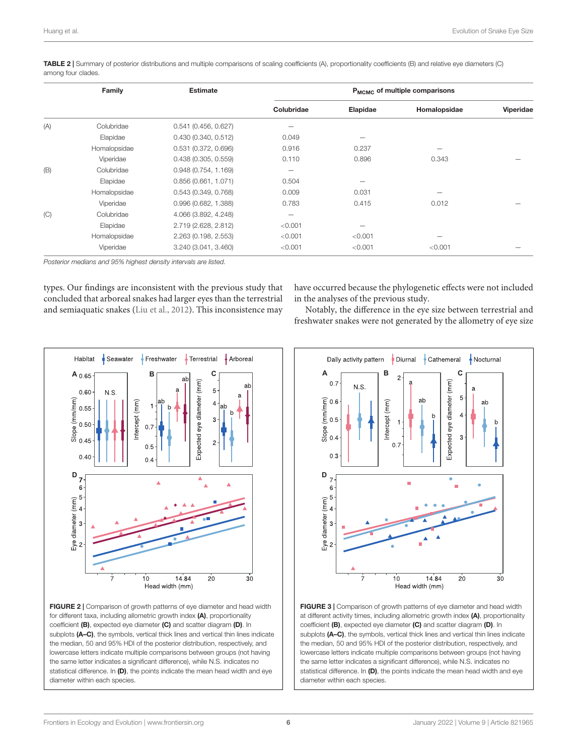|     | Family       | <b>Estimate</b>        | P <sub>MCMC</sub> of multiple comparisons |          |              |           |  |  |
|-----|--------------|------------------------|-------------------------------------------|----------|--------------|-----------|--|--|
|     |              |                        | Colubridae                                | Elapidae | Homalopsidae | Viperidae |  |  |
| (A) | Colubridae   | $0.541$ (0.456, 0.627) |                                           |          |              |           |  |  |
|     | Elapidae     | 0.430(0.340, 0.512)    | 0.049                                     |          |              |           |  |  |
|     | Homalopsidae | 0.531 (0.372, 0.696)   | 0.916                                     | 0.237    | -            |           |  |  |
|     | Viperidae    | 0.438(0.305, 0.559)    | 0.110                                     | 0.896    | 0.343        |           |  |  |
| (B) | Colubridae   | 0.948(0.754, 1.169)    | -                                         |          |              |           |  |  |
|     | Elapidae     | 0.856(0.661, 1.071)    | 0.504                                     |          |              |           |  |  |
|     | Homalopsidae | 0.543 (0.349, 0.768)   | 0.009                                     | 0.031    |              |           |  |  |
|     | Viperidae    | 0.996 (0.682, 1.388)   | 0.783                                     | 0.415    | 0.012        |           |  |  |
| (C) | Colubridae   | 4.066 (3.892, 4.248)   | -                                         |          |              |           |  |  |
|     | Elapidae     | 2.719 (2.628, 2.812)   | < 0.001                                   |          |              |           |  |  |
|     | Homalopsidae | 2.263 (0.198, 2.553)   | < 0.001                                   | < 0.001  |              |           |  |  |
|     | Viperidae    | 3.240 (3.041, 3.460)   | < 0.001                                   | < 0.001  | < 0.001      |           |  |  |
|     |              |                        |                                           |          |              |           |  |  |

<span id="page-5-0"></span>TABLE 2 | Summary of posterior distributions and multiple comparisons of scaling coefficients (A), proportionality coefficients (B) and relative eye diameters (C) among four clades.

Posterior medians and 95% highest density intervals are listed.

types. Our findings are inconsistent with the previous study that concluded that arboreal snakes had larger eyes than the terrestrial and semiaquatic snakes [\(Liu et al.,](#page-8-8) [2012\)](#page-8-8). This inconsistence may have occurred because the phylogenetic effects were not included in the analyses of the previous study.

Notably, the difference in the eye size between terrestrial and freshwater snakes were not generated by the allometry of eye size



<span id="page-5-1"></span>FIGURE 2 | Comparison of growth patterns of eye diameter and head width for different taxa, including allometric growth index (A), proportionality coefficient (B), expected eye diameter (C) and scatter diagram (D). In subplots (A–C), the symbols, vertical thick lines and vertical thin lines indicate the median, 50 and 95% HDI of the posterior distribution, respectively, and lowercase letters indicate multiple comparisons between groups (not having the same letter indicates a significant difference), while N.S. indicates no statistical difference. In (D), the points indicate the mean head width and eye diameter within each species.



<span id="page-5-2"></span>FIGURE 3 | Comparison of growth patterns of eye diameter and head width at different activity times, including allometric growth index (A), proportionality coefficient (B), expected eye diameter (C) and scatter diagram (D). In subplots (A–C), the symbols, vertical thick lines and vertical thin lines indicate the median, 50 and 95% HDI of the posterior distribution, respectively, and lowercase letters indicate multiple comparisons between groups (not having the same letter indicates a significant difference), while N.S. indicates no statistical difference. In (D), the points indicate the mean head width and eye diameter within each species.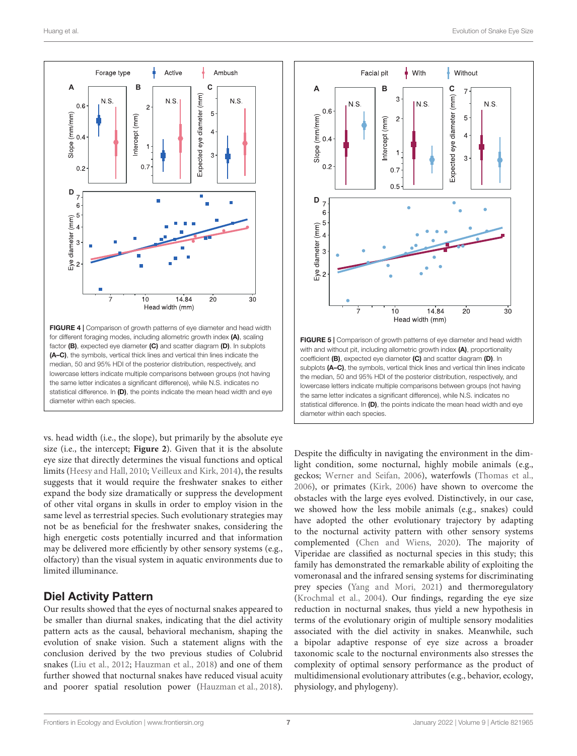

<span id="page-6-0"></span>vs. head width (i.e., the slope), but primarily by the absolute eye size (i.e., the intercept; **[Figure 2](#page-5-1)**). Given that it is the absolute eye size that directly determines the visual functions and optical limits [\(Heesy and Hall,](#page-8-25) [2010;](#page-8-25) [Veilleux and Kirk,](#page-8-26) [2014\)](#page-8-26), the results suggests that it would require the freshwater snakes to either expand the body size dramatically or suppress the development of other vital organs in skulls in order to employ vision in the same level as terrestrial species. Such evolutionary strategies may not be as beneficial for the freshwater snakes, considering the high energetic costs potentially incurred and that information may be delivered more efficiently by other sensory systems (e.g., olfactory) than the visual system in aquatic environments due to limited illuminance.

### Diel Activity Pattern

Our results showed that the eyes of nocturnal snakes appeared to be smaller than diurnal snakes, indicating that the diel activity pattern acts as the causal, behavioral mechanism, shaping the evolution of snake vision. Such a statement aligns with the conclusion derived by the two previous studies of Colubrid snakes [\(Liu et al.,](#page-8-8) [2012;](#page-8-8) [Hauzman et al.,](#page-8-27) [2018\)](#page-8-27) and one of them further showed that nocturnal snakes have reduced visual acuity and poorer spatial resolution power [\(Hauzman et al.,](#page-8-27) [2018\)](#page-8-27).



<span id="page-6-1"></span>Despite the difficulty in navigating the environment in the dimlight condition, some nocturnal, highly mobile animals (e.g., geckos; [Werner and Seifan,](#page-8-14) [2006\)](#page-8-14), waterfowls [\(Thomas et al.,](#page-8-2) [2006\)](#page-8-2), or primates [\(Kirk,](#page-8-7) [2006\)](#page-8-7) have shown to overcome the obstacles with the large eyes evolved. Distinctively, in our case, we showed how the less mobile animals (e.g., snakes) could have adopted the other evolutionary trajectory by adapting to the nocturnal activity pattern with other sensory systems complemented [\(Chen and Wiens,](#page-7-11) [2020\)](#page-7-11). The majority of Viperidae are classified as nocturnal species in this study; this family has demonstrated the remarkable ability of exploiting the vomeronasal and the infrared sensing systems for discriminating prey species [\(Yang and Mori,](#page-8-28) [2021\)](#page-8-28) and thermoregulatory [\(Krochmal et al.,](#page-8-29) [2004\)](#page-8-29). Our findings, regarding the eye size reduction in nocturnal snakes, thus yield a new hypothesis in terms of the evolutionary origin of multiple sensory modalities associated with the diel activity in snakes. Meanwhile, such a bipolar adaptive response of eye size across a broader taxonomic scale to the nocturnal environments also stresses the complexity of optimal sensory performance as the product of multidimensional evolutionary attributes (e.g., behavior, ecology, physiology, and phylogeny).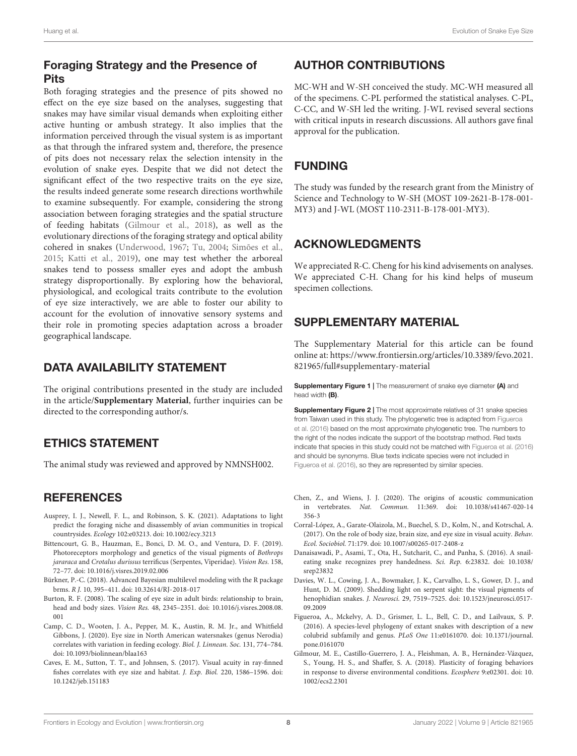# Foraging Strategy and the Presence of Pits

Both foraging strategies and the presence of pits showed no effect on the eye size based on the analyses, suggesting that snakes may have similar visual demands when exploiting either active hunting or ambush strategy. It also implies that the information perceived through the visual system is as important as that through the infrared system and, therefore, the presence of pits does not necessary relax the selection intensity in the evolution of snake eyes. Despite that we did not detect the significant effect of the two respective traits on the eye size, the results indeed generate some research directions worthwhile to examine subsequently. For example, considering the strong association between foraging strategies and the spatial structure of feeding habitats [\(Gilmour et al.,](#page-7-12) [2018\)](#page-7-12), as well as the evolutionary directions of the foraging strategy and optical ability cohered in snakes [\(Underwood,](#page-8-24) [1967;](#page-8-24) [Tu,](#page-8-22) [2004;](#page-8-22) [Simões et al.,](#page-8-20) [2015;](#page-8-20) [Katti et al.,](#page-8-17) [2019\)](#page-8-17), one may test whether the arboreal snakes tend to possess smaller eyes and adopt the ambush strategy disproportionally. By exploring how the behavioral, physiological, and ecological traits contribute to the evolution of eye size interactively, we are able to foster our ability to account for the evolution of innovative sensory systems and their role in promoting species adaptation across a broader geographical landscape.

#### DATA AVAILABILITY STATEMENT

The original contributions presented in the study are included in the article/**[Supplementary Material](#page-7-6)**, further inquiries can be directed to the corresponding author/s.

# ETHICS STATEMENT

The animal study was reviewed and approved by NMNSH002.

### **REFERENCES**

- <span id="page-7-0"></span>Ausprey, I. J., Newell, F. L., and Robinson, S. K. (2021). Adaptations to light predict the foraging niche and disassembly of avian communities in tropical countrysides. Ecology 102:e03213. [doi: 10.1002/ecy.3213](https://doi.org/10.1002/ecy.3213)
- <span id="page-7-4"></span>Bittencourt, G. B., Hauzman, E., Bonci, D. M. O., and Ventura, D. F. (2019). Photoreceptors morphology and genetics of the visual pigments of Bothrops jararaca and Crotalus durissus terrificus (Serpentes, Viperidae). Vision Res. 158, 72–77. [doi: 10.1016/j.visres.2019.02.006](https://doi.org/10.1016/j.visres.2019.02.006)
- <span id="page-7-8"></span>Bürkner, P.-C. (2018). Advanced Bayesian multilevel modeling with the R package brms. R J. 10, 395–411. [doi: 10.32614/RJ-2018-017](https://doi.org/10.32614/RJ-2018-017)
- <span id="page-7-1"></span>Burton, R. F. (2008). The scaling of eye size in adult birds: relationship to brain, head and body sizes. Vision Res. 48, 2345–2351. [doi: 10.1016/j.visres.2008.08.](https://doi.org/10.1016/j.visres.2008.08.001) [001](https://doi.org/10.1016/j.visres.2008.08.001)
- <span id="page-7-5"></span>Camp, C. D., Wooten, J. A., Pepper, M. K., Austin, R. M. Jr., and Whitfield Gibbons, J. (2020). Eye size in North American watersnakes (genus Nerodia) correlates with variation in feeding ecology. Biol. J. Linnean. Soc. 131, 774–784. [doi: 10.1093/biolinnean/blaa163](https://doi.org/10.1093/biolinnean/blaa163)
- <span id="page-7-2"></span>Caves, E. M., Sutton, T. T., and Johnsen, S. (2017). Visual acuity in ray-finned fishes correlates with eye size and habitat. J. Exp. Biol. 220, 1586–1596. [doi:](https://doi.org/10.1242/jeb.151183) [10.1242/jeb.151183](https://doi.org/10.1242/jeb.151183)

# AUTHOR CONTRIBUTIONS

MC-WH and W-SH conceived the study. MC-WH measured all of the specimens. C-PL performed the statistical analyses. C-PL, C-CC, and W-SH led the writing. J-WL revised several sections with critical inputs in research discussions. All authors gave final approval for the publication.

# FUNDING

The study was funded by the research grant from the Ministry of Science and Technology to W-SH (MOST 109-2621-B-178-001- MY3) and J-WL (MOST 110-2311-B-178-001-MY3).

# ACKNOWLEDGMENTS

We appreciated R-C. Cheng for his kind advisements on analyses. We appreciated C-H. Chang for his kind helps of museum specimen collections.

# <span id="page-7-6"></span>SUPPLEMENTARY MATERIAL

The Supplementary Material for this article can be found online at: [https://www.frontiersin.org/articles/10.3389/fevo.2021.](https://www.frontiersin.org/articles/10.3389/fevo.2021.821965/full#supplementary-material) [821965/full#supplementary-material](https://www.frontiersin.org/articles/10.3389/fevo.2021.821965/full#supplementary-material)

Supplementary Figure 1 | The measurement of snake eye diameter (A) and head width (B).

Supplementary Figure 2 | The most approximate relatives of 31 snake species from Taiwan used in this study. The phylogenetic tree is adapted from [Figueroa](#page-7-7) [et al.](#page-7-7) [\(2016\)](#page-7-7) based on the most approximate phylogenetic tree. The numbers to the right of the nodes indicate the support of the bootstrap method. Red texts indicate that species in this study could not be matched with [Figueroa et al.](#page-7-7) [\(2016\)](#page-7-7) and should be synonyms. Blue texts indicate species were not included in [Figueroa et al.](#page-7-7) [\(2016\)](#page-7-7), so they are represented by similar species.

- <span id="page-7-11"></span>Chen, Z., and Wiens, J. J. (2020). The origins of acoustic communication in vertebrates. Nat. Commun. 11:369. [doi: 10.1038/s41467-020-14](https://doi.org/10.1038/s41467-020-14356-3) [356-3](https://doi.org/10.1038/s41467-020-14356-3)
- <span id="page-7-10"></span>Corral-López, A., Garate-Olaizola, M., Buechel, S. D., Kolm, N., and Kotrschal, A. (2017). On the role of body size, brain size, and eye size in visual acuity. Behav. Ecol. Sociobiol. 71:179. [doi: 10.1007/s00265-017-2408-z](https://doi.org/10.1007/s00265-017-2408-z)
- <span id="page-7-3"></span>Danaisawadi, P., Asami, T., Ota, H., Sutcharit, C., and Panha, S. (2016). A snaileating snake recognizes prey handedness. Sci. Rep. 6:23832. [doi: 10.1038/](https://doi.org/10.1038/srep23832) [srep23832](https://doi.org/10.1038/srep23832)
- <span id="page-7-9"></span>Davies, W. L., Cowing, J. A., Bowmaker, J. K., Carvalho, L. S., Gower, D. J., and Hunt, D. M. (2009). Shedding light on serpent sight: the visual pigments of henophidian snakes. J. Neurosci. 29, 7519–7525. [doi: 10.1523/jneurosci.0517-](https://doi.org/10.1523/jneurosci.0517-09.2009) [09.2009](https://doi.org/10.1523/jneurosci.0517-09.2009)
- <span id="page-7-7"></span>Figueroa, A., Mckelvy, A. D., Grismer, L. L., Bell, C. D., and Lailvaux, S. P. (2016). A species-level phylogeny of extant snakes with description of a new colubrid subfamily and genus. PLoS One 11:e0161070. [doi: 10.1371/journal.](https://doi.org/10.1371/journal.pone.0161070) [pone.0161070](https://doi.org/10.1371/journal.pone.0161070)
- <span id="page-7-12"></span>Gilmour, M. E., Castillo-Guerrero, J. A., Fleishman, A. B., Hernández-Vázquez, S., Young, H. S., and Shaffer, S. A. (2018). Plasticity of foraging behaviors in response to diverse environmental conditions. Ecosphere 9:e02301. [doi: 10.](https://doi.org/10.1002/ecs2.2301) [1002/ecs2.2301](https://doi.org/10.1002/ecs2.2301)